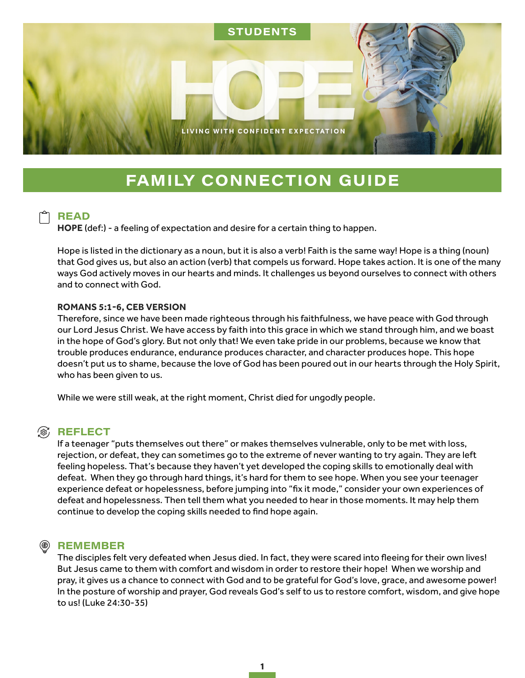

# **FAMILY CONNECTION GUIDE**

## **READ**

**HOPE** (def:) - a feeling of expectation and desire for a certain thing to happen.

Hope is listed in the dictionary as a noun, but it is also a verb! Faith is the same way! Hope is a thing (noun) that God gives us, but also an action (verb) that compels us forward. Hope takes action. It is one of the many ways God actively moves in our hearts and minds. It challenges us beyond ourselves to connect with others and to connect with God.

#### **ROMANS 5:1-6, CEB VERSION**

Therefore, since we have been made righteous through his faithfulness, we have peace with God through our Lord Jesus Christ. We have access by faith into this grace in which we stand through him, and we boast in the hope of God's glory. But not only that! We even take pride in our problems, because we know that trouble produces endurance, endurance produces character, and character produces hope. This hope doesn't put us to shame, because the love of God has been poured out in our hearts through the Holy Spirit, who has been given to us.

While we were still weak, at the right moment, Christ died for ungodly people.

### **(8) REFLECT**

If a teenager "puts themselves out there" or makes themselves vulnerable, only to be met with loss, rejection, or defeat, they can sometimes go to the extreme of never wanting to try again. They are left feeling hopeless. That's because they haven't yet developed the coping skills to emotionally deal with defeat. When they go through hard things, it's hard for them to see hope. When you see your teenager experience defeat or hopelessness, before jumping into "fix it mode," consider your own experiences of defeat and hopelessness. Then tell them what you needed to hear in those moments. It may help them continue to develop the coping skills needed to find hope again.

#### **REMEMBER**

The disciples felt very defeated when Jesus died. In fact, they were scared into fleeing for their own lives! But Jesus came to them with comfort and wisdom in order to restore their hope! When we worship and pray, it gives us a chance to connect with God and to be grateful for God's love, grace, and awesome power! In the posture of worship and prayer, God reveals God's self to us to restore comfort, wisdom, and give hope to us! (Luke 24:30-35)

1